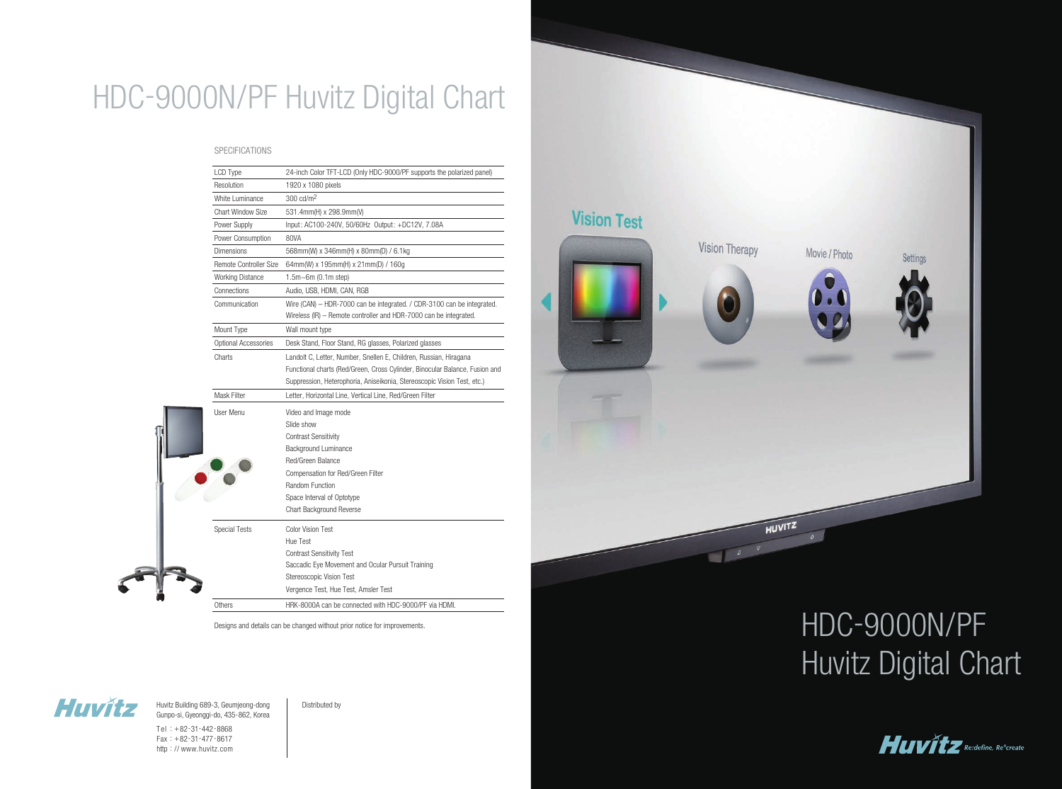| 24-inch Color TFT-LCD (Only HDC-9000/PF supports the polarized panel)<br>LCD Type<br>Resolution<br>1920 x 1080 pixels<br>300 cd/m <sup>2</sup><br><b>White Luminance</b><br><b>Chart Window Size</b><br>531.4mm(H) x 298.9mm(V)<br>Power Supply<br>Input: AC100-240V, 50/60Hz Output: +DC12V, 7.08A<br>80VA<br>Power Consumption<br>Dimensions<br>568mm(W) x 346mm(H) x 80mm(D) / 6.1kg<br>Remote Controller Size<br>64mm(W) x 195mm(H) x 21mm(D) / 160g<br><b>Working Distance</b><br>$1.5m - 6m (0.1m step)$<br>Connections<br>Audio, USB, HDMI, CAN, RGB<br>Communication<br>Wireless (IR) - Remote controller and HDR-7000 can be integrated.<br>Mount Type<br>Wall mount type<br>Optional Accessories<br>Desk Stand, Floor Stand, RG glasses, Polarized glasses<br>Charts<br>Landolt C, Letter, Number, Snellen E, Children, Russian, Hiragana<br>Suppression, Heterophoria, Aniseikonia, Stereoscopic Vision Test, etc.)<br><b>Mask Filter</b><br>Letter, Horizontal Line, Vertical Line, Red/Green Filter<br>User Menu<br>Video and Image mode<br>Slide show<br><b>Contrast Sensitivity</b><br>Background Luminance<br>Red/Green Balance<br>Compensation for Red/Green Filter<br>Random Function<br>Space Interval of Optotype<br>Chart Background Reverse<br><b>Special Tests</b><br><b>Color Vision Test</b><br>Hue Test<br><b>Contrast Sensitivity Test</b><br>Saccadic Eye Movement and Ocular Pursuit Training<br>Stereoscopic Vision Test<br>Vergence Test, Hue Test, Amsler Test<br><b>Others</b><br>HRK-8000A can be connected with HDC-9000/PF via HDMI. |                                                                             |
|--------------------------------------------------------------------------------------------------------------------------------------------------------------------------------------------------------------------------------------------------------------------------------------------------------------------------------------------------------------------------------------------------------------------------------------------------------------------------------------------------------------------------------------------------------------------------------------------------------------------------------------------------------------------------------------------------------------------------------------------------------------------------------------------------------------------------------------------------------------------------------------------------------------------------------------------------------------------------------------------------------------------------------------------------------------------------------------------------------------------------------------------------------------------------------------------------------------------------------------------------------------------------------------------------------------------------------------------------------------------------------------------------------------------------------------------------------------------------------------------------------------------------------------------------------------------------|-----------------------------------------------------------------------------|
|                                                                                                                                                                                                                                                                                                                                                                                                                                                                                                                                                                                                                                                                                                                                                                                                                                                                                                                                                                                                                                                                                                                                                                                                                                                                                                                                                                                                                                                                                                                                                                          |                                                                             |
|                                                                                                                                                                                                                                                                                                                                                                                                                                                                                                                                                                                                                                                                                                                                                                                                                                                                                                                                                                                                                                                                                                                                                                                                                                                                                                                                                                                                                                                                                                                                                                          |                                                                             |
|                                                                                                                                                                                                                                                                                                                                                                                                                                                                                                                                                                                                                                                                                                                                                                                                                                                                                                                                                                                                                                                                                                                                                                                                                                                                                                                                                                                                                                                                                                                                                                          |                                                                             |
|                                                                                                                                                                                                                                                                                                                                                                                                                                                                                                                                                                                                                                                                                                                                                                                                                                                                                                                                                                                                                                                                                                                                                                                                                                                                                                                                                                                                                                                                                                                                                                          |                                                                             |
|                                                                                                                                                                                                                                                                                                                                                                                                                                                                                                                                                                                                                                                                                                                                                                                                                                                                                                                                                                                                                                                                                                                                                                                                                                                                                                                                                                                                                                                                                                                                                                          |                                                                             |
|                                                                                                                                                                                                                                                                                                                                                                                                                                                                                                                                                                                                                                                                                                                                                                                                                                                                                                                                                                                                                                                                                                                                                                                                                                                                                                                                                                                                                                                                                                                                                                          |                                                                             |
|                                                                                                                                                                                                                                                                                                                                                                                                                                                                                                                                                                                                                                                                                                                                                                                                                                                                                                                                                                                                                                                                                                                                                                                                                                                                                                                                                                                                                                                                                                                                                                          |                                                                             |
|                                                                                                                                                                                                                                                                                                                                                                                                                                                                                                                                                                                                                                                                                                                                                                                                                                                                                                                                                                                                                                                                                                                                                                                                                                                                                                                                                                                                                                                                                                                                                                          |                                                                             |
|                                                                                                                                                                                                                                                                                                                                                                                                                                                                                                                                                                                                                                                                                                                                                                                                                                                                                                                                                                                                                                                                                                                                                                                                                                                                                                                                                                                                                                                                                                                                                                          |                                                                             |
|                                                                                                                                                                                                                                                                                                                                                                                                                                                                                                                                                                                                                                                                                                                                                                                                                                                                                                                                                                                                                                                                                                                                                                                                                                                                                                                                                                                                                                                                                                                                                                          |                                                                             |
|                                                                                                                                                                                                                                                                                                                                                                                                                                                                                                                                                                                                                                                                                                                                                                                                                                                                                                                                                                                                                                                                                                                                                                                                                                                                                                                                                                                                                                                                                                                                                                          | Wire (CAN) - HDR-7000 can be integrated. / CDR-3100 can be integrated.      |
|                                                                                                                                                                                                                                                                                                                                                                                                                                                                                                                                                                                                                                                                                                                                                                                                                                                                                                                                                                                                                                                                                                                                                                                                                                                                                                                                                                                                                                                                                                                                                                          |                                                                             |
|                                                                                                                                                                                                                                                                                                                                                                                                                                                                                                                                                                                                                                                                                                                                                                                                                                                                                                                                                                                                                                                                                                                                                                                                                                                                                                                                                                                                                                                                                                                                                                          |                                                                             |
|                                                                                                                                                                                                                                                                                                                                                                                                                                                                                                                                                                                                                                                                                                                                                                                                                                                                                                                                                                                                                                                                                                                                                                                                                                                                                                                                                                                                                                                                                                                                                                          | Functional charts (Red/Green, Cross Cylinder, Binocular Balance, Fusion and |
|                                                                                                                                                                                                                                                                                                                                                                                                                                                                                                                                                                                                                                                                                                                                                                                                                                                                                                                                                                                                                                                                                                                                                                                                                                                                                                                                                                                                                                                                                                                                                                          |                                                                             |
|                                                                                                                                                                                                                                                                                                                                                                                                                                                                                                                                                                                                                                                                                                                                                                                                                                                                                                                                                                                                                                                                                                                                                                                                                                                                                                                                                                                                                                                                                                                                                                          |                                                                             |
|                                                                                                                                                                                                                                                                                                                                                                                                                                                                                                                                                                                                                                                                                                                                                                                                                                                                                                                                                                                                                                                                                                                                                                                                                                                                                                                                                                                                                                                                                                                                                                          |                                                                             |
|                                                                                                                                                                                                                                                                                                                                                                                                                                                                                                                                                                                                                                                                                                                                                                                                                                                                                                                                                                                                                                                                                                                                                                                                                                                                                                                                                                                                                                                                                                                                                                          |                                                                             |
|                                                                                                                                                                                                                                                                                                                                                                                                                                                                                                                                                                                                                                                                                                                                                                                                                                                                                                                                                                                                                                                                                                                                                                                                                                                                                                                                                                                                                                                                                                                                                                          |                                                                             |
|                                                                                                                                                                                                                                                                                                                                                                                                                                                                                                                                                                                                                                                                                                                                                                                                                                                                                                                                                                                                                                                                                                                                                                                                                                                                                                                                                                                                                                                                                                                                                                          |                                                                             |
|                                                                                                                                                                                                                                                                                                                                                                                                                                                                                                                                                                                                                                                                                                                                                                                                                                                                                                                                                                                                                                                                                                                                                                                                                                                                                                                                                                                                                                                                                                                                                                          |                                                                             |
|                                                                                                                                                                                                                                                                                                                                                                                                                                                                                                                                                                                                                                                                                                                                                                                                                                                                                                                                                                                                                                                                                                                                                                                                                                                                                                                                                                                                                                                                                                                                                                          |                                                                             |
|                                                                                                                                                                                                                                                                                                                                                                                                                                                                                                                                                                                                                                                                                                                                                                                                                                                                                                                                                                                                                                                                                                                                                                                                                                                                                                                                                                                                                                                                                                                                                                          |                                                                             |
|                                                                                                                                                                                                                                                                                                                                                                                                                                                                                                                                                                                                                                                                                                                                                                                                                                                                                                                                                                                                                                                                                                                                                                                                                                                                                                                                                                                                                                                                                                                                                                          |                                                                             |
|                                                                                                                                                                                                                                                                                                                                                                                                                                                                                                                                                                                                                                                                                                                                                                                                                                                                                                                                                                                                                                                                                                                                                                                                                                                                                                                                                                                                                                                                                                                                                                          |                                                                             |
|                                                                                                                                                                                                                                                                                                                                                                                                                                                                                                                                                                                                                                                                                                                                                                                                                                                                                                                                                                                                                                                                                                                                                                                                                                                                                                                                                                                                                                                                                                                                                                          |                                                                             |
|                                                                                                                                                                                                                                                                                                                                                                                                                                                                                                                                                                                                                                                                                                                                                                                                                                                                                                                                                                                                                                                                                                                                                                                                                                                                                                                                                                                                                                                                                                                                                                          |                                                                             |
|                                                                                                                                                                                                                                                                                                                                                                                                                                                                                                                                                                                                                                                                                                                                                                                                                                                                                                                                                                                                                                                                                                                                                                                                                                                                                                                                                                                                                                                                                                                                                                          |                                                                             |
|                                                                                                                                                                                                                                                                                                                                                                                                                                                                                                                                                                                                                                                                                                                                                                                                                                                                                                                                                                                                                                                                                                                                                                                                                                                                                                                                                                                                                                                                                                                                                                          |                                                                             |
|                                                                                                                                                                                                                                                                                                                                                                                                                                                                                                                                                                                                                                                                                                                                                                                                                                                                                                                                                                                                                                                                                                                                                                                                                                                                                                                                                                                                                                                                                                                                                                          |                                                                             |
|                                                                                                                                                                                                                                                                                                                                                                                                                                                                                                                                                                                                                                                                                                                                                                                                                                                                                                                                                                                                                                                                                                                                                                                                                                                                                                                                                                                                                                                                                                                                                                          |                                                                             |

Huvitz Building 689-3, Geumjeong-dong | Distributed by Gunpo-si, Gyeonggi-do, 435-862, Korea

Designs and details can be changed without prior notice for improvements.



# HDC-9000N/PF Huvitz Digital Chart

#### **SPECIFICATIONS**

Tel : +82-31-442-8868 Fax : +82-31-477-8617 http : // www.huvitz.com

**Vision Test** Vision Therapy Movie / Photo HUVITZ 



# HDC-9000N/PF Huvitz Digital Chart